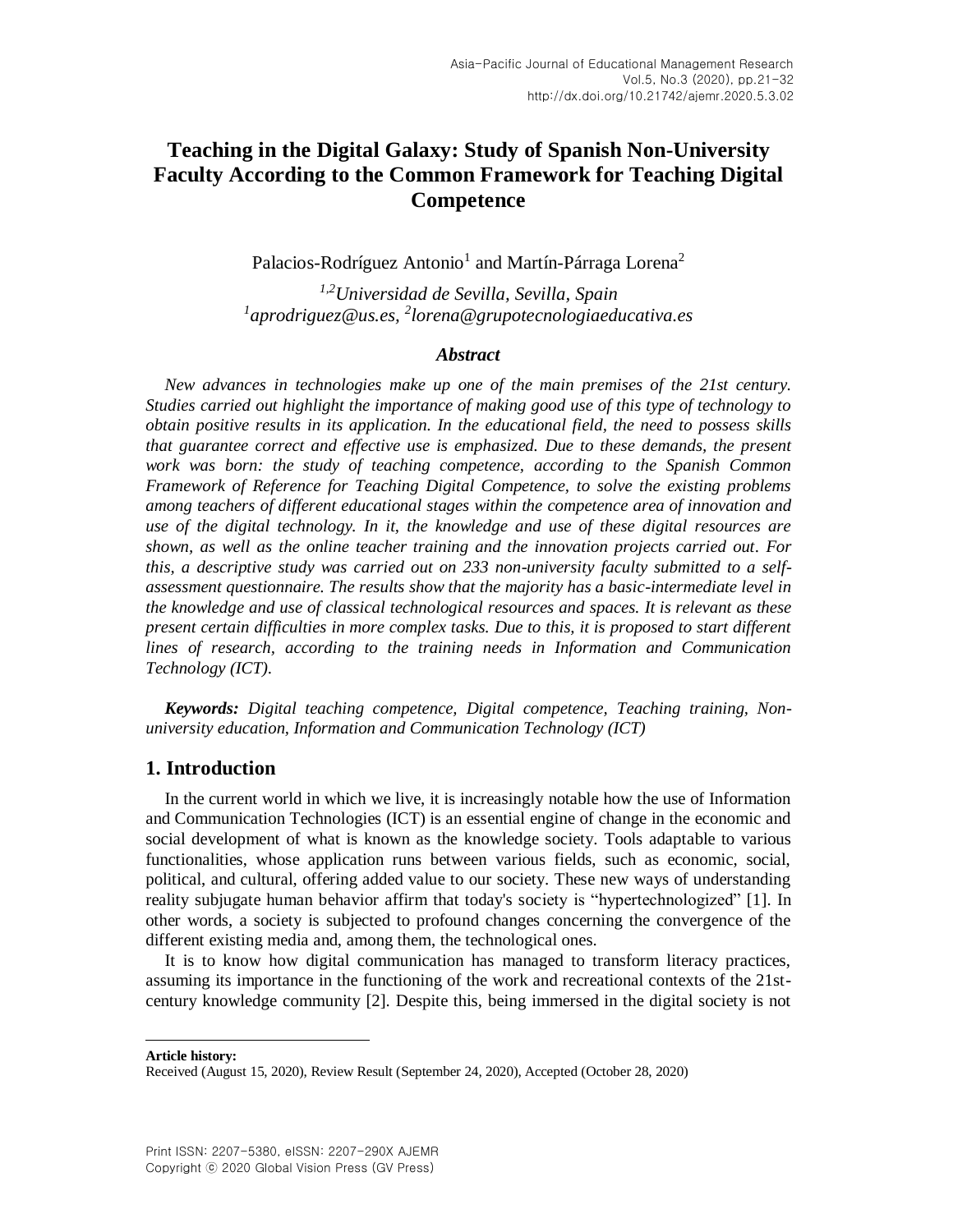Palacios-Rodríguez Antonio<sup>1</sup> and Martín-Párraga Lorena<sup>2</sup>

*1,2Universidad de Sevilla, Sevilla, Spain 1 [aprodriguez@us.es,](mailto:1aprodriguez@us.es) 2 [lorena@grupotecnologiaeducativa.es](mailto:2lorena@grupotecnologiaeducativa.es)*

#### *Abstract*

*New advances in technologies make up one of the main premises of the 21st century. Studies carried out highlight the importance of making good use of this type of technology to obtain positive results in its application. In the educational field, the need to possess skills that guarantee correct and effective use is emphasized. Due to these demands, the present work was born: the study of teaching competence, according to the Spanish Common Framework of Reference for Teaching Digital Competence, to solve the existing problems among teachers of different educational stages within the competence area of innovation and use of the digital technology. In it, the knowledge and use of these digital resources are shown, as well as the online teacher training and the innovation projects carried out. For this, a descriptive study was carried out on 233 non-university faculty submitted to a selfassessment questionnaire. The results show that the majority has a basic-intermediate level in the knowledge and use of classical technological resources and spaces. It is relevant as these present certain difficulties in more complex tasks. Due to this, it is proposed to start different lines of research, according to the training needs in Information and Communication Technology (ICT).*

*Keywords: Digital teaching competence, Digital competence, Teaching training, Nonuniversity education, Information and Communication Technology (ICT)*

### **1. Introduction**

In the current world in which we live, it is increasingly notable how the use of Information and Communication Technologies (ICT) is an essential engine of change in the economic and social development of what is known as the knowledge society. Tools adaptable to various functionalities, whose application runs between various fields, such as economic, social, political, and cultural, offering added value to our society. These new ways of understanding reality subjugate human behavior affirm that today's society is "hypertechnologized" [\[1\].](#page-9-0) In other words, a society is subjected to profound changes concerning the convergence of the different existing media and, among them, the technological ones.

It is to know how digital communication has managed to transform literacy practices, assuming its importance in the functioning of the work and recreational contexts of the 21stcentury knowledge community [\[2\].](#page-9-1) Despite this, being immersed in the digital society is not

**Article history:** 

l

Received (August 15, 2020), Review Result (September 24, 2020), Accepted (October 28, 2020)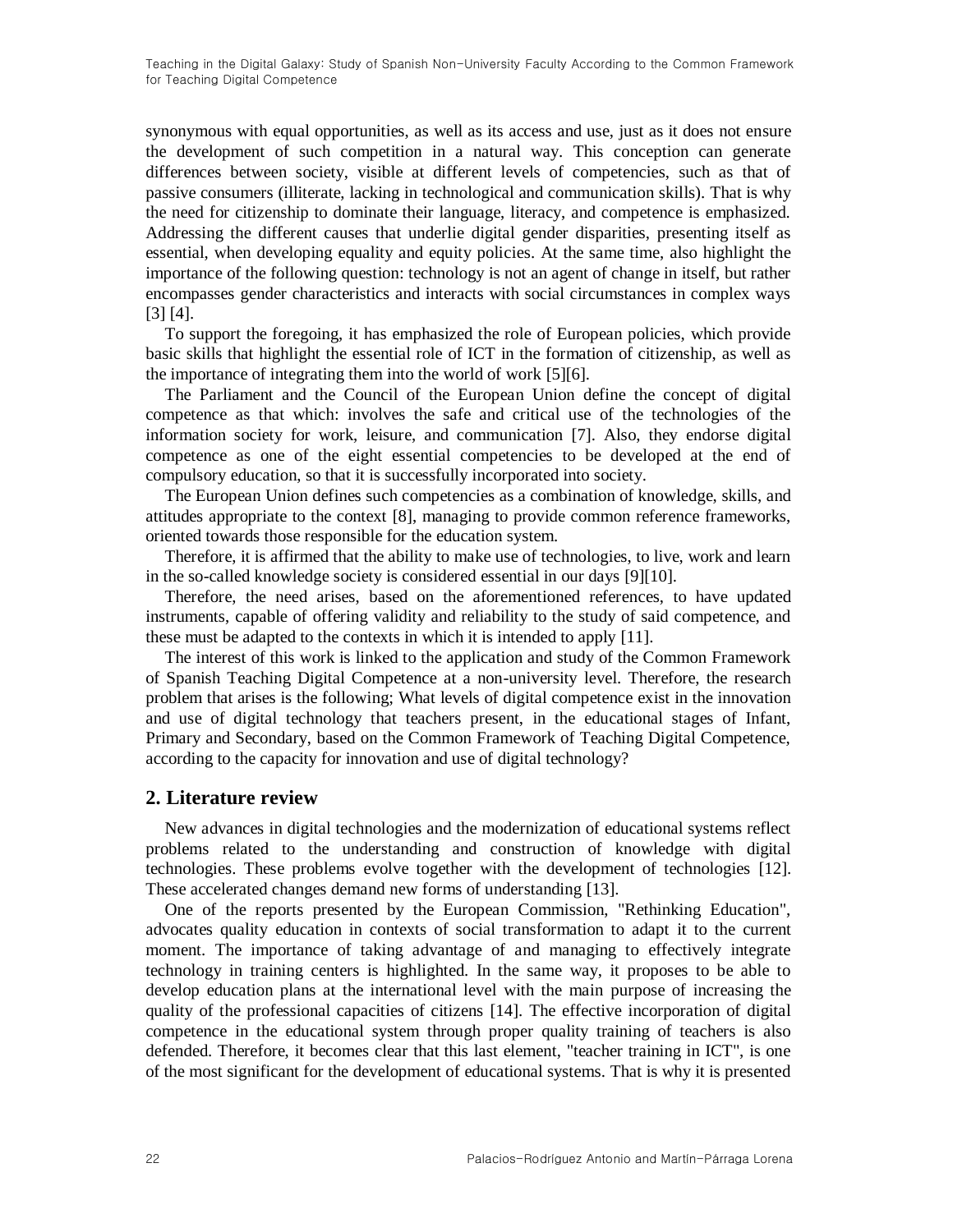synonymous with equal opportunities, as well as its access and use, just as it does not ensure the development of such competition in a natural way. This conception can generate differences between society, visible at different levels of competencies, such as that of passive consumers (illiterate, lacking in technological and communication skills). That is why the need for citizenship to dominate their language, literacy, and competence is emphasized. Addressing the different causes that underlie digital gender disparities, presenting itself as essential, when developing equality and equity policies. At the same time, also highlight the importance of the following question: technology is not an agent of change in itself, but rather encompasses gender characteristics and interacts with social circumstances in complex ways [\[3\]](#page-9-2) [\[4\].](#page-9-3)

To support the foregoing, it has emphasized the role of European policies, which provide basic skills that highlight the essential role of ICT in the formation of citizenship, as well as the importance of integrating them into the world of work [\[5\]\[6\].](#page-9-4)

The Parliament and the Council of the European Union define the concept of digital competence as that which: involves the safe and critical use of the technologies of the information society for work, leisure, and communication [\[7\].](#page-9-5) Also, they endorse digital competence as one of the eight essential competencies to be developed at the end of compulsory education, so that it is successfully incorporated into society.

The European Union defines such competencies as a combination of knowledge, skills, and attitudes appropriate to the context [\[8\],](#page-9-6) managing to provide common reference frameworks, oriented towards those responsible for the education system.

Therefore, it is affirmed that the ability to make use of technologies, to live, work and learn in the so-called knowledge society is considered essential in our days [\[9\]\[10\].](#page-9-7)

Therefore, the need arises, based on the aforementioned references, to have updated instruments, capable of offering validity and reliability to the study of said competence, and these must be adapted to the contexts in which it is intended to apply [\[11\].](#page-9-8)

The interest of this work is linked to the application and study of the Common Framework of Spanish Teaching Digital Competence at a non-university level. Therefore, the research problem that arises is the following; What levels of digital competence exist in the innovation and use of digital technology that teachers present, in the educational stages of Infant, Primary and Secondary, based on the Common Framework of Teaching Digital Competence, according to the capacity for innovation and use of digital technology?

### **2. Literature review**

New advances in digital technologies and the modernization of educational systems reflect problems related to the understanding and construction of knowledge with digital technologies. These problems evolve together with the development of technologies [\[12\].](#page-9-9) These accelerated changes demand new forms of understanding [\[13\].](#page-9-10)

One of the reports presented by the European Commission, "Rethinking Education", advocates quality education in contexts of social transformation to adapt it to the current moment. The importance of taking advantage of and managing to effectively integrate technology in training centers is highlighted. In the same way, it proposes to be able to develop education plans at the international level with the main purpose of increasing the quality of the professional capacities of citizens [\[14\].](#page-9-11) The effective incorporation of digital competence in the educational system through proper quality training of teachers is also defended. Therefore, it becomes clear that this last element, "teacher training in ICT", is one of the most significant for the development of educational systems. That is why it is presented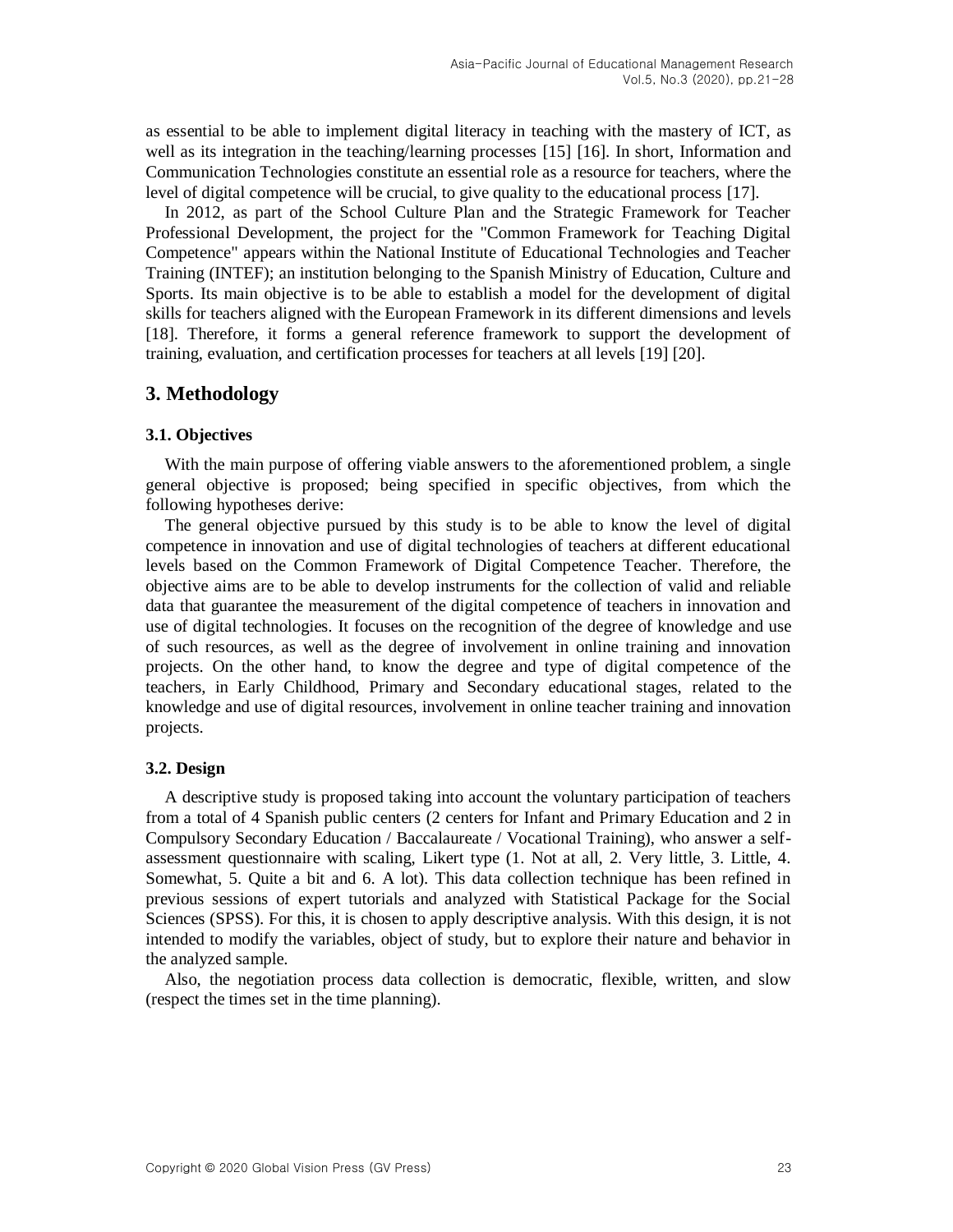as essential to be able to implement digital literacy in teaching with the mastery of ICT, as well as its integration in the teaching/learning processes [\[15\]](#page-9-12) [\[16\].](#page-9-13) In short, Information and Communication Technologies constitute an essential role as a resource for teachers, where the level of digital competence will be crucial, to give quality to the educational process [\[17\].](#page-9-14)

In 2012, as part of the School Culture Plan and the Strategic Framework for Teacher Professional Development, the project for the "Common Framework for Teaching Digital Competence" appears within the National Institute of Educational Technologies and Teacher Training (INTEF); an institution belonging to the Spanish Ministry of Education, Culture and Sports. Its main objective is to be able to establish a model for the development of digital skills for teachers aligned with the European Framework in its different dimensions and levels [\[18\].](#page-9-15) Therefore, it forms a general reference framework to support the development of training, evaluation, and certification processes for teachers at all levels [\[19\]](#page-10-0) [\[20\].](#page-10-1)

## **3. Methodology**

### **3.1. Objectives**

With the main purpose of offering viable answers to the aforementioned problem, a single general objective is proposed; being specified in specific objectives, from which the following hypotheses derive:

The general objective pursued by this study is to be able to know the level of digital competence in innovation and use of digital technologies of teachers at different educational levels based on the Common Framework of Digital Competence Teacher. Therefore, the objective aims are to be able to develop instruments for the collection of valid and reliable data that guarantee the measurement of the digital competence of teachers in innovation and use of digital technologies. It focuses on the recognition of the degree of knowledge and use of such resources, as well as the degree of involvement in online training and innovation projects. On the other hand, to know the degree and type of digital competence of the teachers, in Early Childhood, Primary and Secondary educational stages, related to the knowledge and use of digital resources, involvement in online teacher training and innovation projects.

#### **3.2. Design**

A descriptive study is proposed taking into account the voluntary participation of teachers from a total of 4 Spanish public centers (2 centers for Infant and Primary Education and 2 in Compulsory Secondary Education / Baccalaureate / Vocational Training), who answer a selfassessment questionnaire with scaling, Likert type (1. Not at all, 2. Very little, 3. Little, 4. Somewhat, 5. Quite a bit and 6. A lot). This data collection technique has been refined in previous sessions of expert tutorials and analyzed with Statistical Package for the Social Sciences (SPSS). For this, it is chosen to apply descriptive analysis. With this design, it is not intended to modify the variables, object of study, but to explore their nature and behavior in the analyzed sample.

Also, the negotiation process data collection is democratic, flexible, written, and slow (respect the times set in the time planning).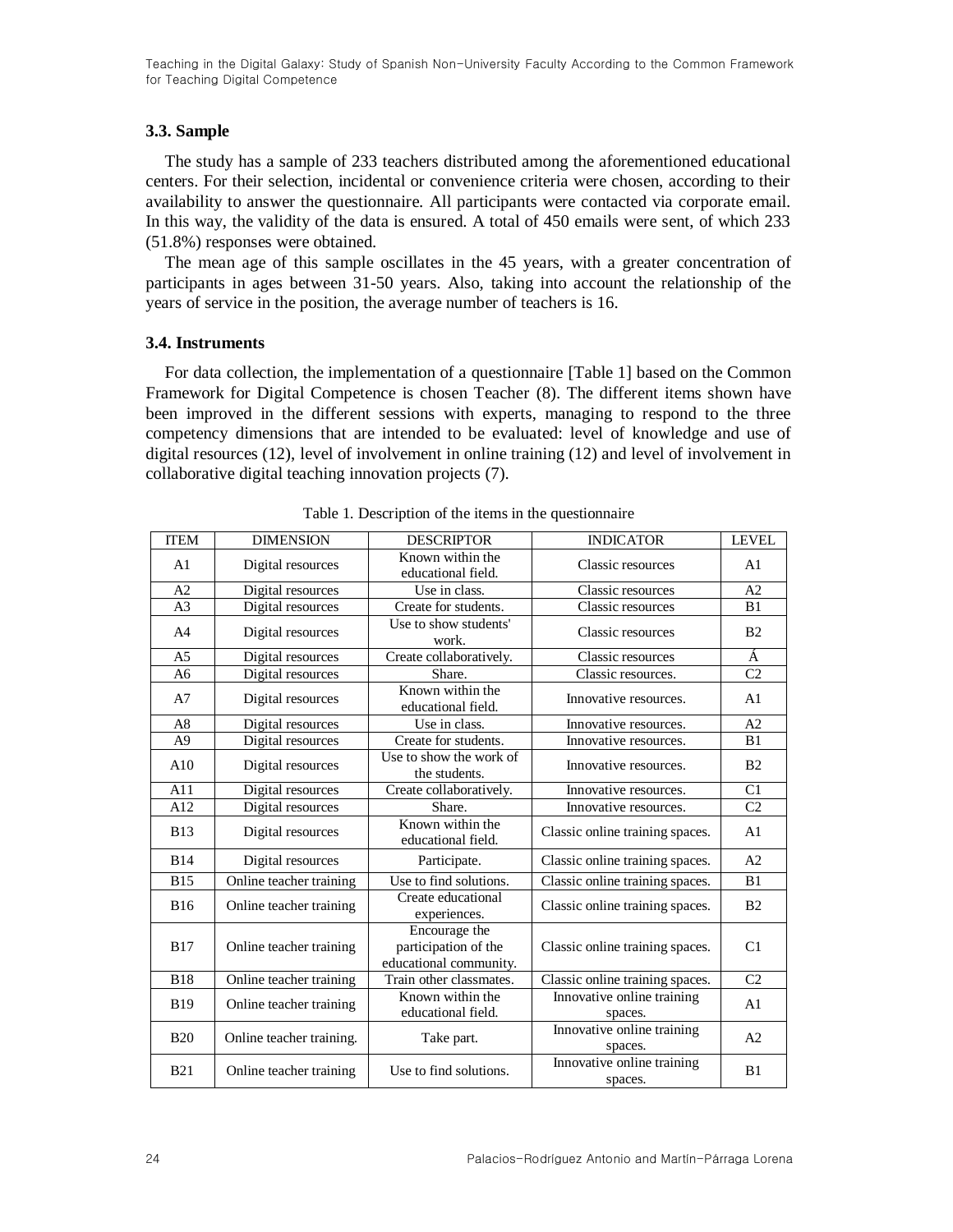#### **3.3. Sample**

The study has a sample of 233 teachers distributed among the aforementioned educational centers. For their selection, incidental or convenience criteria were chosen, according to their availability to answer the questionnaire. All participants were contacted via corporate email. In this way, the validity of the data is ensured. A total of 450 emails were sent, of which 233 (51.8%) responses were obtained.

The mean age of this sample oscillates in the 45 years, with a greater concentration of participants in ages between 31-50 years. Also, taking into account the relationship of the years of service in the position, the average number of teachers is 16.

#### **3.4. Instruments**

For data collection, the implementation of a questionnaire [Table 1] based on the Common Framework for Digital Competence is chosen Teacher (8). The different items shown have been improved in the different sessions with experts, managing to respond to the three competency dimensions that are intended to be evaluated: level of knowledge and use of digital resources (12), level of involvement in online training (12) and level of involvement in collaborative digital teaching innovation projects (7).

| <b>ITEM</b>    | <b>DIMENSION</b>         | <b>DESCRIPTOR</b>                                               | <b>INDICATOR</b>                                                    | <b>LEVEL</b>    |
|----------------|--------------------------|-----------------------------------------------------------------|---------------------------------------------------------------------|-----------------|
| A1             | Digital resources        | Known within the<br>educational field.                          | Classic resources                                                   | A <sub>1</sub>  |
| A2             | Digital resources        | Use in class.                                                   | Classic resources                                                   | A <sub>2</sub>  |
| A <sub>3</sub> | Digital resources        | Create for students.                                            | Classic resources                                                   | B1              |
| A <sup>4</sup> | Digital resources        | Use to show students'<br>work.                                  | Classic resources                                                   | B <sub>2</sub>  |
| A <sub>5</sub> | Digital resources        | Create collaboratively.                                         | Classic resources                                                   | À               |
| A <sub>6</sub> | Digital resources        | Share.                                                          | Classic resources.                                                  | $\overline{C2}$ |
| A7             | Digital resources        | Known within the<br>educational field.                          | Innovative resources.                                               | A1              |
| A8             | Digital resources        | Use in class.                                                   | Innovative resources.                                               | A <sub>2</sub>  |
| A <sub>9</sub> | Digital resources        | Create for students.                                            | Innovative resources.                                               | B1              |
| A10            | Digital resources        | Use to show the work of<br>the students.                        | Innovative resources.                                               | B <sub>2</sub>  |
| A11            | Digital resources        | Create collaboratively.                                         | Innovative resources.                                               | C <sub>1</sub>  |
| A12            | Digital resources        | Share.                                                          | Innovative resources.                                               | C <sub>2</sub>  |
| <b>B13</b>     | Digital resources        | Known within the<br>educational field.                          | Classic online training spaces.                                     | A <sub>1</sub>  |
| <b>B14</b>     | Digital resources        | Participate.                                                    | Classic online training spaces.                                     | A <sub>2</sub>  |
| <b>B15</b>     | Online teacher training  | Use to find solutions.                                          | Classic online training spaces.                                     | B1              |
| <b>B16</b>     | Online teacher training  | Create educational<br>experiences.                              | Classic online training spaces.                                     | B <sub>2</sub>  |
| <b>B17</b>     | Online teacher training  | Encourage the<br>participation of the<br>educational community. | Classic online training spaces.                                     | C1              |
| <b>B18</b>     | Online teacher training  | Train other classmates.                                         | Classic online training spaces.                                     | C <sub>2</sub>  |
| <b>B19</b>     | Online teacher training  | Known within the<br>educational field.                          | Innovative online training<br>spaces.                               | A <sub>1</sub>  |
| <b>B20</b>     | Online teacher training. | Take part.                                                      | Innovative online training<br>spaces.<br>Innovative online training | A <sub>2</sub>  |
| <b>B21</b>     | Online teacher training  | Use to find solutions.                                          |                                                                     | B1              |

Table 1. Description of the items in the questionnaire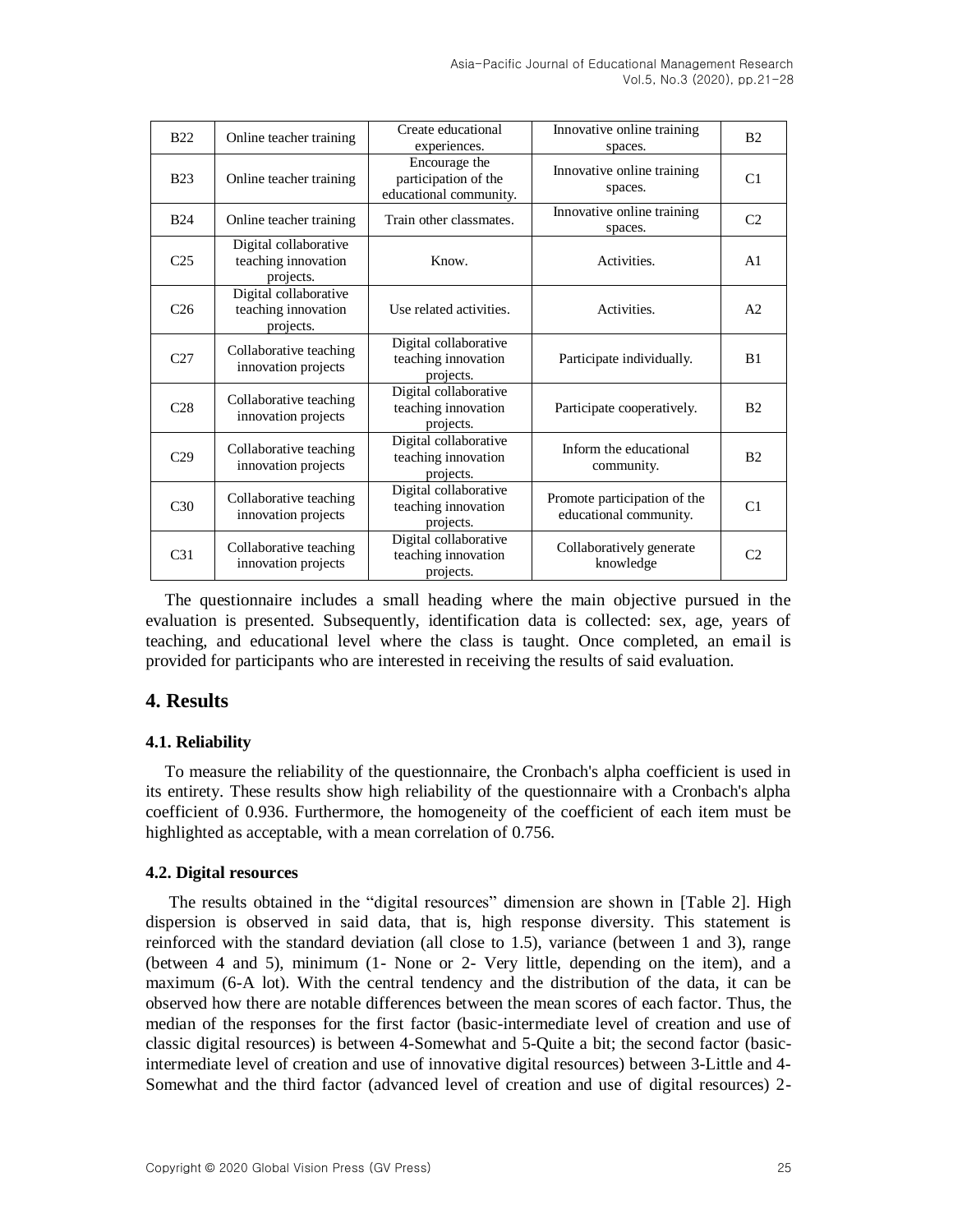| <b>B22</b>      | Online teacher training                                   | Create educational<br>experiences.                              | Innovative online training<br>spaces.                  | B <sub>2</sub> |
|-----------------|-----------------------------------------------------------|-----------------------------------------------------------------|--------------------------------------------------------|----------------|
| <b>B23</b>      | Online teacher training                                   | Encourage the<br>participation of the<br>educational community. | Innovative online training<br>spaces.                  | C1             |
| <b>B24</b>      | Online teacher training                                   | Train other classmates.                                         | Innovative online training<br>spaces.                  | C <sub>2</sub> |
| C <sub>25</sub> | Digital collaborative<br>teaching innovation<br>projects. | Know.                                                           | Activities.                                            | A <sub>1</sub> |
| C <sub>26</sub> | Digital collaborative<br>teaching innovation<br>projects. | Use related activities.                                         | Activities.                                            | A <sub>2</sub> |
| C <sub>27</sub> | Collaborative teaching<br>innovation projects             | Digital collaborative<br>teaching innovation<br>projects.       | Participate individually.                              | B1             |
| C <sub>28</sub> | Collaborative teaching<br>innovation projects             | Digital collaborative<br>teaching innovation<br>projects.       | Participate cooperatively.                             | B <sub>2</sub> |
| C <sub>29</sub> | Collaborative teaching<br>innovation projects             | Digital collaborative<br>teaching innovation<br>projects.       | Inform the educational<br>community.                   | B <sub>2</sub> |
| C <sub>30</sub> | Collaborative teaching<br>innovation projects             | Digital collaborative<br>teaching innovation<br>projects.       | Promote participation of the<br>educational community. | C1             |
| C <sub>31</sub> | Collaborative teaching<br>innovation projects             | Digital collaborative<br>teaching innovation<br>projects.       | Collaboratively generate<br>knowledge                  | C2             |

The questionnaire includes a small heading where the main objective pursued in the evaluation is presented. Subsequently, identification data is collected: sex, age, years of teaching, and educational level where the class is taught. Once completed, an email is provided for participants who are interested in receiving the results of said evaluation.

## **4. Results**

### **4.1. Reliability**

To measure the reliability of the questionnaire, the Cronbach's alpha coefficient is used in its entirety. These results show high reliability of the questionnaire with a Cronbach's alpha coefficient of 0.936. Furthermore, the homogeneity of the coefficient of each item must be highlighted as acceptable, with a mean correlation of 0.756.

### **4.2. Digital resources**

The results obtained in the "digital resources" dimension are shown in [Table 2]. High dispersion is observed in said data, that is, high response diversity. This statement is reinforced with the standard deviation (all close to 1.5), variance (between 1 and 3), range (between 4 and 5), minimum (1- None or 2- Very little, depending on the item), and a maximum (6-A lot). With the central tendency and the distribution of the data, it can be observed how there are notable differences between the mean scores of each factor. Thus, the median of the responses for the first factor (basic-intermediate level of creation and use of classic digital resources) is between 4-Somewhat and 5-Quite a bit; the second factor (basicintermediate level of creation and use of innovative digital resources) between 3-Little and 4- Somewhat and the third factor (advanced level of creation and use of digital resources) 2-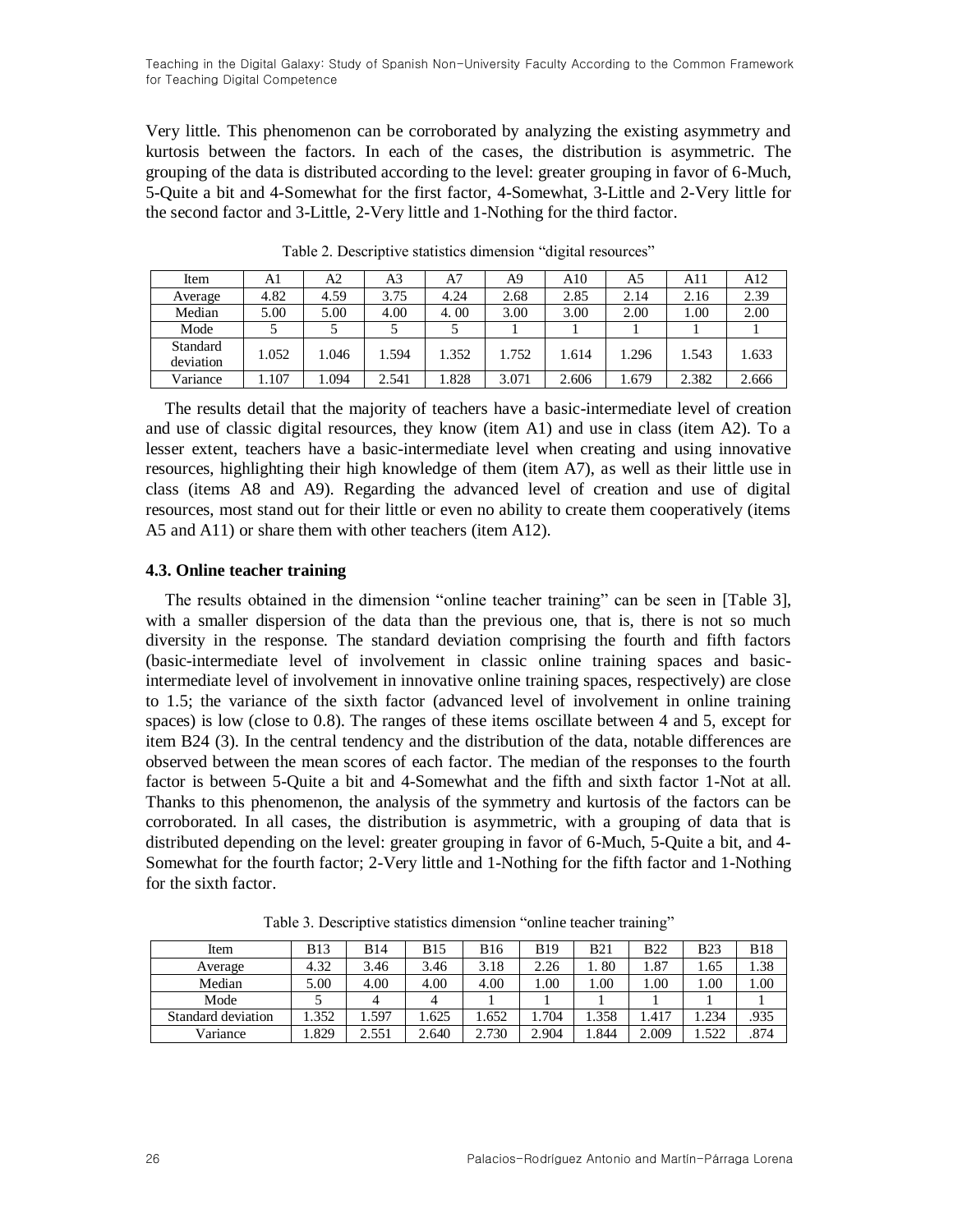Very little. This phenomenon can be corroborated by analyzing the existing asymmetry and kurtosis between the factors. In each of the cases, the distribution is asymmetric. The grouping of the data is distributed according to the level: greater grouping in favor of 6-Much, 5-Quite a bit and 4-Somewhat for the first factor, 4-Somewhat, 3-Little and 2-Very little for the second factor and 3-Little, 2-Very little and 1-Nothing for the third factor.

| Item                  | Al    | A2    | A3    | A7    | A9    | A10   | A5    | A11   | A12   |
|-----------------------|-------|-------|-------|-------|-------|-------|-------|-------|-------|
| Average               | 4.82  | 4.59  | 3.75  | 4.24  | 2.68  | 2.85  | 2.14  | 2.16  | 2.39  |
| Median                | 5.00  | 5.00  | 4.00  | 4.00  | 3.00  | 3.00  | 2.00  | 1.00  | 2.00  |
| Mode                  |       |       |       |       |       |       |       |       |       |
| Standard<br>deviation | 1.052 | 1.046 | 1.594 | 1.352 | 1.752 | 1.614 | 1.296 | 1.543 | 1.633 |
| Variance              | .107  | .094  | 2.541 | .828  | 3.071 | 2.606 | 1.679 | 2.382 | 2.666 |

Table 2. Descriptive statistics dimension "digital resources"

The results detail that the majority of teachers have a basic-intermediate level of creation and use of classic digital resources, they know (item A1) and use in class (item A2). To a lesser extent, teachers have a basic-intermediate level when creating and using innovative resources, highlighting their high knowledge of them (item A7), as well as their little use in class (items A8 and A9). Regarding the advanced level of creation and use of digital resources, most stand out for their little or even no ability to create them cooperatively (items A5 and A11) or share them with other teachers (item A12).

#### **4.3. Online teacher training**

The results obtained in the dimension "online teacher training" can be seen in [Table 3], with a smaller dispersion of the data than the previous one, that is, there is not so much diversity in the response. The standard deviation comprising the fourth and fifth factors (basic-intermediate level of involvement in classic online training spaces and basicintermediate level of involvement in innovative online training spaces, respectively) are close to 1.5; the variance of the sixth factor (advanced level of involvement in online training spaces) is low (close to 0.8). The ranges of these items oscillate between 4 and 5, except for item B24 (3). In the central tendency and the distribution of the data, notable differences are observed between the mean scores of each factor. The median of the responses to the fourth factor is between 5-Quite a bit and 4-Somewhat and the fifth and sixth factor 1-Not at all. Thanks to this phenomenon, the analysis of the symmetry and kurtosis of the factors can be corroborated. In all cases, the distribution is asymmetric, with a grouping of data that is distributed depending on the level: greater grouping in favor of 6-Much, 5-Quite a bit, and 4- Somewhat for the fourth factor; 2-Very little and 1-Nothing for the fifth factor and 1-Nothing for the sixth factor.

| Item               | <b>B13</b> | <b>B14</b> | <b>B</b> 15 | <b>B</b> 16 | <b>B19</b> | <b>B21</b> | <b>B22</b> | <b>B23</b> | <b>B18</b> |
|--------------------|------------|------------|-------------|-------------|------------|------------|------------|------------|------------|
| Average            | 4.32       | 3.46       | 3.46        | 3.18        | 2.26       | 80         | 1.87       | 1.65       | 1.38       |
| Median             | 5.00       | 4.00       | 4.00        | 4.00        | $00$ .     | .00        | .00.       | 00.        | 00.1       |
| Mode               |            |            |             |             |            |            |            |            |            |
| Standard deviation | .352       | .597       | .625        | .652        | 1.704      | .358       | .417       | .234       | .935       |
| Variance           | .829       | 2.551      | 2.640       | 2.730       | 2.904      | .844       | 2.009      | .522       | .874       |

Table 3. Descriptive statistics dimension "online teacher training"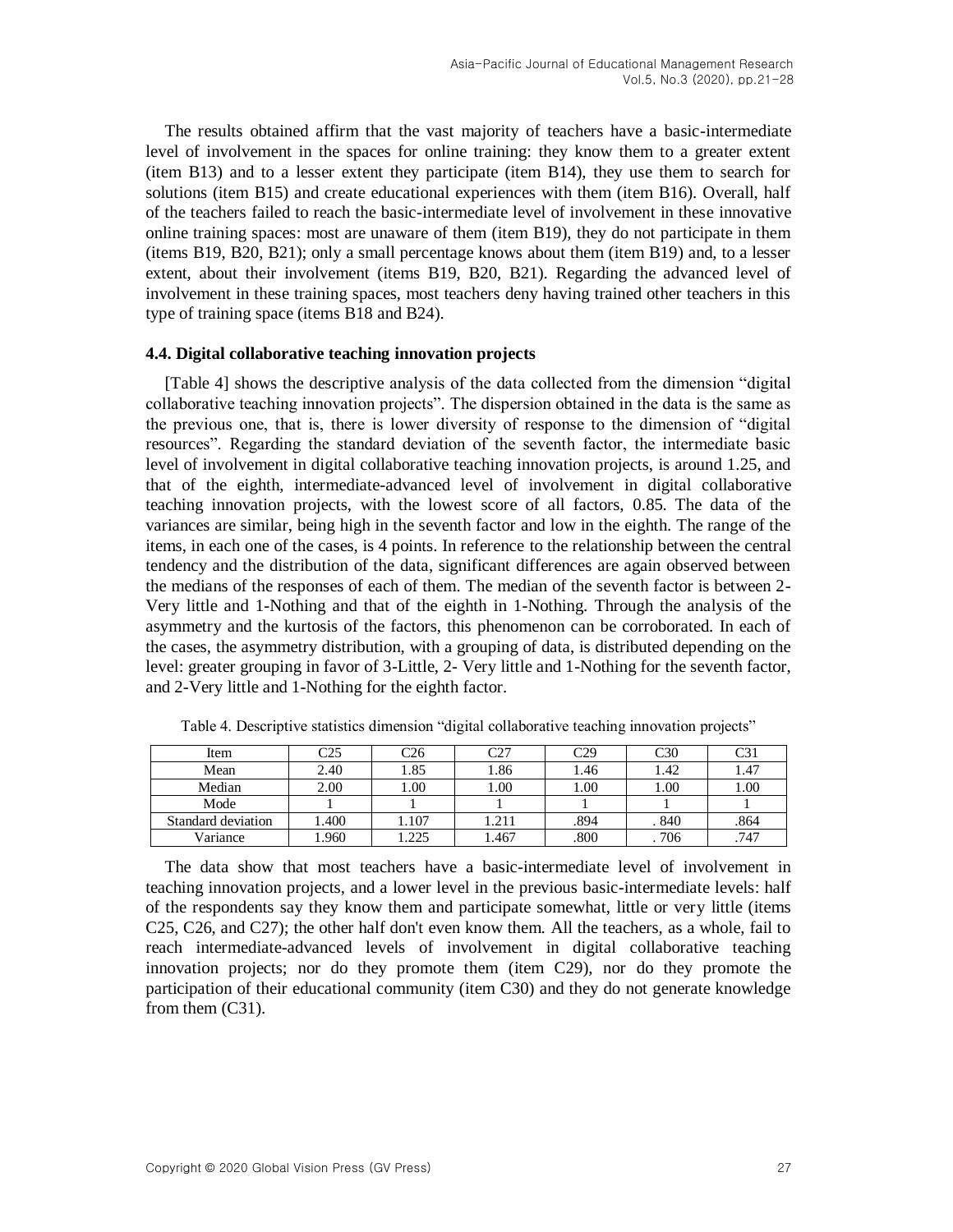The results obtained affirm that the vast majority of teachers have a basic-intermediate level of involvement in the spaces for online training: they know them to a greater extent (item B13) and to a lesser extent they participate (item B14), they use them to search for solutions (item B15) and create educational experiences with them (item B16). Overall, half of the teachers failed to reach the basic-intermediate level of involvement in these innovative online training spaces: most are unaware of them (item B19), they do not participate in them (items B19, B20, B21); only a small percentage knows about them (item B19) and, to a lesser extent, about their involvement (items B19, B20, B21). Regarding the advanced level of involvement in these training spaces, most teachers deny having trained other teachers in this type of training space (items B18 and B24).

#### **4.4. Digital collaborative teaching innovation projects**

[Table 4] shows the descriptive analysis of the data collected from the dimension "digital collaborative teaching innovation projects". The dispersion obtained in the data is the same as the previous one, that is, there is lower diversity of response to the dimension of "digital resources". Regarding the standard deviation of the seventh factor, the intermediate basic level of involvement in digital collaborative teaching innovation projects, is around 1.25, and that of the eighth, intermediate-advanced level of involvement in digital collaborative teaching innovation projects, with the lowest score of all factors, 0.85. The data of the variances are similar, being high in the seventh factor and low in the eighth. The range of the items, in each one of the cases, is 4 points. In reference to the relationship between the central tendency and the distribution of the data, significant differences are again observed between the medians of the responses of each of them. The median of the seventh factor is between 2- Very little and 1-Nothing and that of the eighth in 1-Nothing. Through the analysis of the asymmetry and the kurtosis of the factors, this phenomenon can be corroborated. In each of the cases, the asymmetry distribution, with a grouping of data, is distributed depending on the level: greater grouping in favor of 3-Little, 2- Very little and 1-Nothing for the seventh factor, and 2-Very little and 1-Nothing for the eighth factor.

| Item               | عصم   | $\mathbb{C}26$ | $\sim$ | م∼∩  | C30   | C3)      |
|--------------------|-------|----------------|--------|------|-------|----------|
| Mean               | 2.40  | 1.85           | . 86   | l.46 | 1.42  | 1.47     |
| Median             | 2.00  | 0.00           | .00    | 1.00 | 1.00  | $1.00\,$ |
| Mode               |       |                |        |      |       |          |
| Standard deviation | 1.400 | .107           | .211   | .894 | . 840 | .864     |
| Variance           | 1.960 | 225            | .467   | .800 | 706   | .747     |

Table 4. Descriptive statistics dimension "digital collaborative teaching innovation projects"

The data show that most teachers have a basic-intermediate level of involvement in teaching innovation projects, and a lower level in the previous basic-intermediate levels: half of the respondents say they know them and participate somewhat, little or very little (items C25, C26, and C27); the other half don't even know them. All the teachers, as a whole, fail to reach intermediate-advanced levels of involvement in digital collaborative teaching innovation projects; nor do they promote them (item C29), nor do they promote the participation of their educational community (item C30) and they do not generate knowledge from them (C31).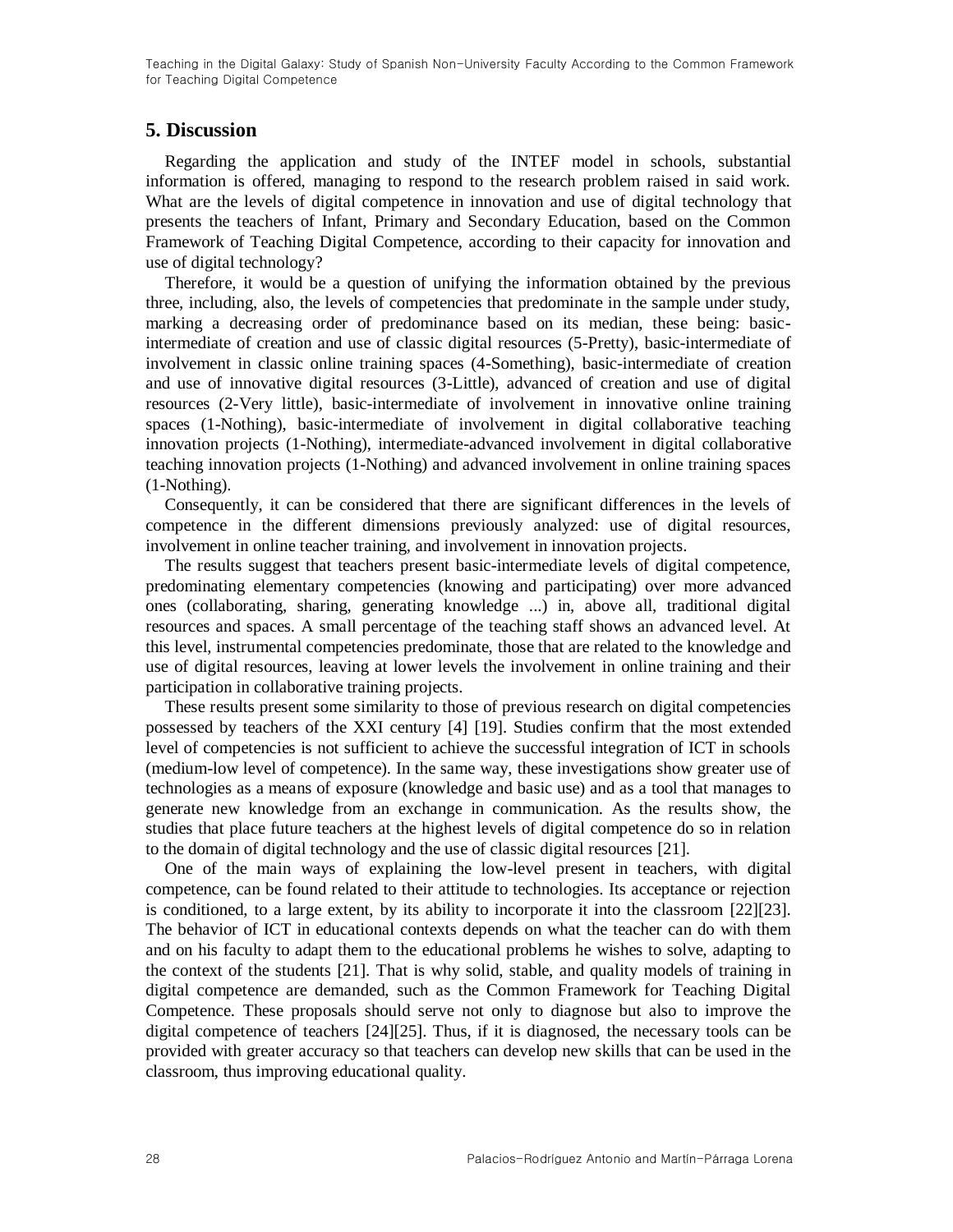### **5. Discussion**

Regarding the application and study of the INTEF model in schools, substantial information is offered, managing to respond to the research problem raised in said work. What are the levels of digital competence in innovation and use of digital technology that presents the teachers of Infant, Primary and Secondary Education, based on the Common Framework of Teaching Digital Competence, according to their capacity for innovation and use of digital technology?

Therefore, it would be a question of unifying the information obtained by the previous three, including, also, the levels of competencies that predominate in the sample under study, marking a decreasing order of predominance based on its median, these being: basicintermediate of creation and use of classic digital resources (5-Pretty), basic-intermediate of involvement in classic online training spaces (4-Something), basic-intermediate of creation and use of innovative digital resources (3-Little), advanced of creation and use of digital resources (2-Very little), basic-intermediate of involvement in innovative online training spaces (1-Nothing), basic-intermediate of involvement in digital collaborative teaching innovation projects (1-Nothing), intermediate-advanced involvement in digital collaborative teaching innovation projects (1-Nothing) and advanced involvement in online training spaces (1-Nothing).

Consequently, it can be considered that there are significant differences in the levels of competence in the different dimensions previously analyzed: use of digital resources, involvement in online teacher training, and involvement in innovation projects.

The results suggest that teachers present basic-intermediate levels of digital competence, predominating elementary competencies (knowing and participating) over more advanced ones (collaborating, sharing, generating knowledge ...) in, above all, traditional digital resources and spaces. A small percentage of the teaching staff shows an advanced level. At this level, instrumental competencies predominate, those that are related to the knowledge and use of digital resources, leaving at lower levels the involvement in online training and their participation in collaborative training projects.

These results present some similarity to those of previous research on digital competencies possessed by teachers of the XXI century [\[4\]](#page-9-3) [\[19\].](#page-10-0) Studies confirm that the most extended level of competencies is not sufficient to achieve the successful integration of ICT in schools (medium-low level of competence). In the same way, these investigations show greater use of technologies as a means of exposure (knowledge and basic use) and as a tool that manages to generate new knowledge from an exchange in communication. As the results show, the studies that place future teachers at the highest levels of digital competence do so in relation to the domain of digital technology and the use of classic digital resources [\[21\].](#page-10-2)

One of the main ways of explaining the low-level present in teachers, with digital competence, can be found related to their attitude to technologies. Its acceptance or rejection is conditioned, to a large extent, by its ability to incorporate it into the classroom [\[22\]\[23\].](#page-10-3) The behavior of ICT in educational contexts depends on what the teacher can do with them and on his faculty to adapt them to the educational problems he wishes to solve, adapting to the context of the students [\[21\].](#page-10-2) That is why solid, stable, and quality models of training in digital competence are demanded, such as the Common Framework for Teaching Digital Competence. These proposals should serve not only to diagnose but also to improve the digital competence of teachers [\[24\]\[25\].](#page-10-4) Thus, if it is diagnosed, the necessary tools can be provided with greater accuracy so that teachers can develop new skills that can be used in the classroom, thus improving educational quality.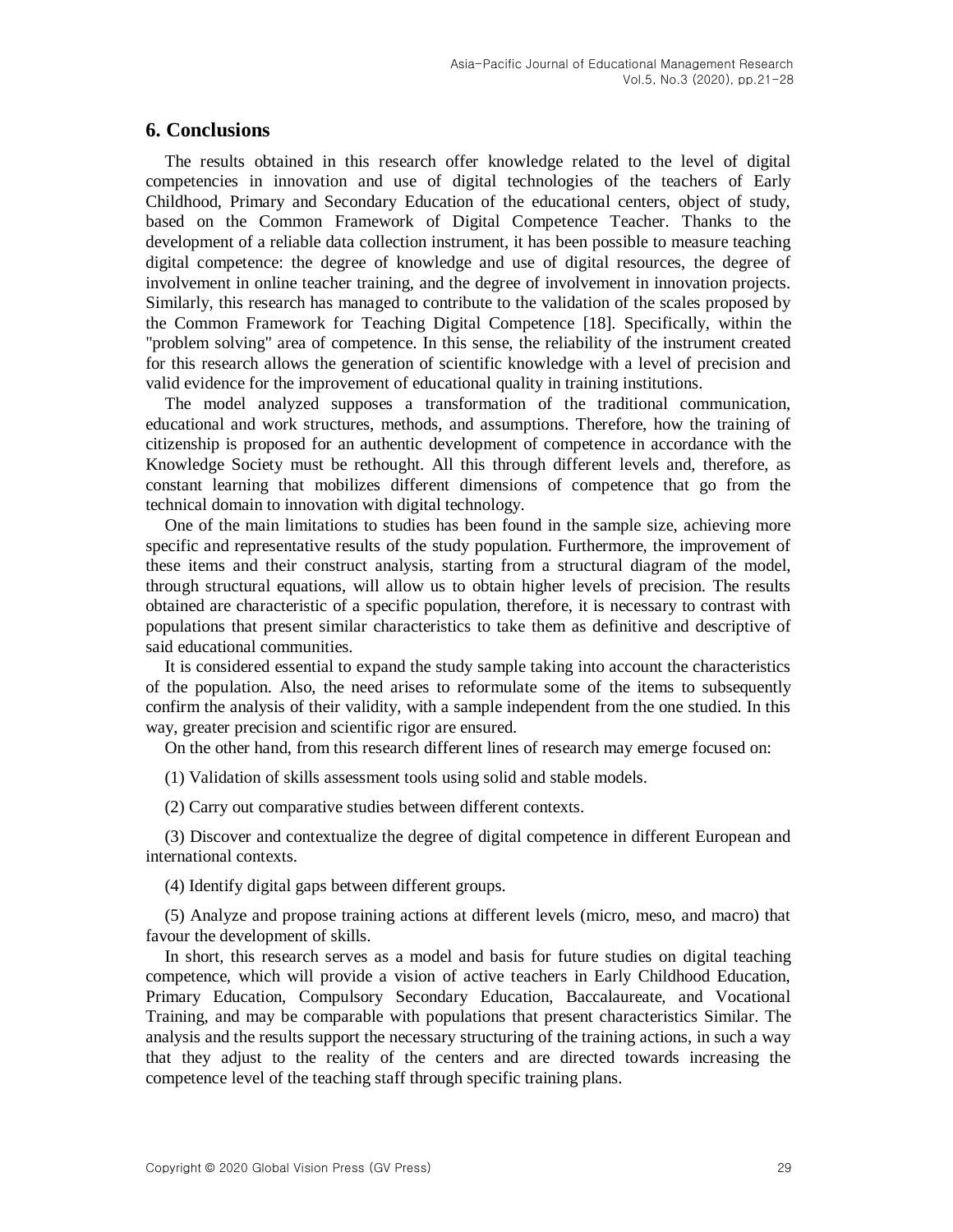### **6. Conclusions**

The results obtained in this research offer knowledge related to the level of digital competencies in innovation and use of digital technologies of the teachers of Early Childhood, Primary and Secondary Education of the educational centers, object of study, based on the Common Framework of Digital Competence Teacher. Thanks to the development of a reliable data collection instrument, it has been possible to measure teaching digital competence: the degree of knowledge and use of digital resources, the degree of involvement in online teacher training, and the degree of involvement in innovation projects. Similarly, this research has managed to contribute to the validation of the scales proposed by the Common Framework for Teaching Digital Competence [\[18\].](#page-9-15) Specifically, within the "problem solving" area of competence. In this sense, the reliability of the instrument created for this research allows the generation of scientific knowledge with a level of precision and valid evidence for the improvement of educational quality in training institutions.

The model analyzed supposes a transformation of the traditional communication, educational and work structures, methods, and assumptions. Therefore, how the training of citizenship is proposed for an authentic development of competence in accordance with the Knowledge Society must be rethought. All this through different levels and, therefore, as constant learning that mobilizes different dimensions of competence that go from the technical domain to innovation with digital technology.

One of the main limitations to studies has been found in the sample size, achieving more specific and representative results of the study population. Furthermore, the improvement of these items and their construct analysis, starting from a structural diagram of the model, through structural equations, will allow us to obtain higher levels of precision. The results obtained are characteristic of a specific population, therefore, it is necessary to contrast with populations that present similar characteristics to take them as definitive and descriptive of said educational communities.

It is considered essential to expand the study sample taking into account the characteristics of the population. Also, the need arises to reformulate some of the items to subsequently confirm the analysis of their validity, with a sample independent from the one studied. In this way, greater precision and scientific rigor are ensured.

On the other hand, from this research different lines of research may emerge focused on:

(1) Validation of skills assessment tools using solid and stable models.

(2) Carry out comparative studies between different contexts.

(3) Discover and contextualize the degree of digital competence in different European and international contexts.

(4) Identify digital gaps between different groups.

(5) Analyze and propose training actions at different levels (micro, meso, and macro) that favour the development of skills.

In short, this research serves as a model and basis for future studies on digital teaching competence, which will provide a vision of active teachers in Early Childhood Education, Primary Education, Compulsory Secondary Education, Baccalaureate, and Vocational Training, and may be comparable with populations that present characteristics Similar. The analysis and the results support the necessary structuring of the training actions, in such a way that they adjust to the reality of the centers and are directed towards increasing the competence level of the teaching staff through specific training plans.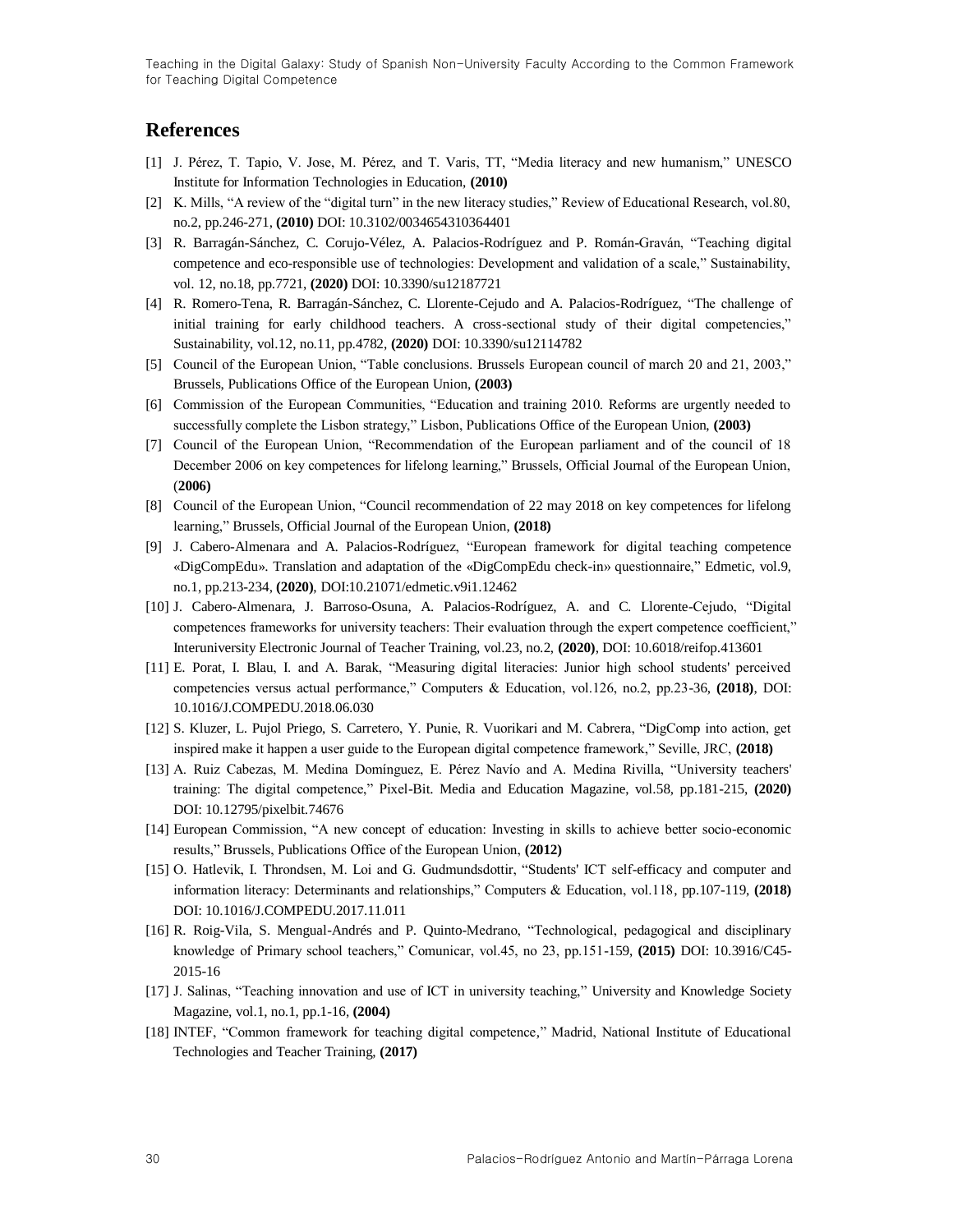### **References**

- <span id="page-9-0"></span>[1] J. Pérez, T. Tapio, V. Jose, M. Pérez, and T. Varis, TT, "Media literacy and new humanism," UNESCO Institute for Information Technologies in Education, **(2010)**
- <span id="page-9-1"></span>[2] K. Mills, "A review of the "digital turn" in the new literacy studies," Review of Educational Research, vol.80, no.2, pp.246-271, **(2010)** DOI: 10.3102/0034654310364401
- <span id="page-9-2"></span>[3] R. Barragán-Sánchez, C. Corujo-Vélez, A. Palacios-Rodríguez and P. Román-Graván, "Teaching digital competence and eco-responsible use of technologies: Development and validation of a scale," Sustainability, vol. 12, no.18, pp.7721, **(2020)** DOI: 10.3390/su12187721
- <span id="page-9-3"></span>[4] R. Romero-Tena, R. Barragán-Sánchez, C. Llorente-Cejudo and A. Palacios-Rodríguez, "The challenge of initial training for early childhood teachers. A cross-sectional study of their digital competencies," Sustainability, vol.12, no.11, pp.4782, **(2020)** DOI: 10.3390/su12114782
- <span id="page-9-4"></span>[5] Council of the European Union, "Table conclusions. Brussels European council of march 20 and 21, 2003," Brussels, Publications Office of the European Union, **(2003)**
- [6] Commission of the European Communities, "Education and training 2010. Reforms are urgently needed to successfully complete the Lisbon strategy," Lisbon, Publications Office of the European Union, **(2003)**
- <span id="page-9-5"></span>[7] Council of the European Union, "Recommendation of the European parliament and of the council of 18 December 2006 on key competences for lifelong learning," Brussels, Official Journal of the European Union, (**2006)**
- <span id="page-9-6"></span>[8] Council of the European Union, "Council recommendation of 22 may 2018 on key competences for lifelong learning," Brussels, Official Journal of the European Union, **(2018)**
- <span id="page-9-7"></span>[9] J. Cabero-Almenara and A. Palacios-Rodríguez, "European framework for digital teaching competence «DigCompEdu». Translation and adaptation of the «DigCompEdu check-in» questionnaire," Edmetic, vol.9, no.1, pp.213-234, **(2020)**, DOI:10.21071/edmetic.v9i1.12462
- [10] J. Cabero-Almenara, J. Barroso-Osuna, A. Palacios-Rodríguez, A. and C. Llorente-Cejudo, "Digital competences frameworks for university teachers: Their evaluation through the expert competence coefficient," Interuniversity Electronic Journal of Teacher Training, vol.23, no.2, **(2020)**, DOI: 10.6018/reifop.413601
- <span id="page-9-8"></span>[11] E. Porat, I. Blau, I. and A. Barak, "Measuring digital literacies: Junior high school students' perceived competencies versus actual performance," Computers & Education, vol.126, no.2, pp.23-36, **(2018)**, DOI: 10.1016/J.COMPEDU.2018.06.030
- <span id="page-9-9"></span>[12] S. Kluzer, L. Pujol Priego, S. Carretero, Y. Punie, R. Vuorikari and M. Cabrera, "DigComp into action, get inspired make it happen a user guide to the European digital competence framework," Seville, JRC, **(2018)**
- <span id="page-9-10"></span>[13] A. Ruiz Cabezas, M. Medina Domínguez, E. Pérez Navío and A. Medina Rivilla, "University teachers' training: The digital competence," Pixel-Bit. Media and Education Magazine, vol.58, pp.181-215, **(2020)** DOI: 10.12795/pixelbit.74676
- <span id="page-9-11"></span>[14] European Commission, "A new concept of education: Investing in skills to achieve better socio-economic results," Brussels, Publications Office of the European Union, **(2012)**
- <span id="page-9-12"></span>[15] O. Hatlevik, I. Throndsen, M. Loi and G. Gudmundsdottir, "Students' ICT self-efficacy and computer and information literacy: Determinants and relationships," Computers & Education, vol.118, pp.107-119, **(2018)** DOI: 10.1016/J.COMPEDU.2017.11.011
- <span id="page-9-13"></span>[16] R. Roig-Vila, S. Mengual-Andrés and P. Quinto-Medrano, "Technological, pedagogical and disciplinary knowledge of Primary school teachers," Comunicar, vol.45, no 23, pp.151-159, **(2015)** DOI: 10.3916/C45- 2015-16
- <span id="page-9-14"></span>[17] J. Salinas, "Teaching innovation and use of ICT in university teaching," University and Knowledge Society Magazine, vol.1, no.1, pp.1-16, **(2004)**
- <span id="page-9-15"></span>[18] INTEF, "Common framework for teaching digital competence," Madrid, National Institute of Educational Technologies and Teacher Training, **(2017)**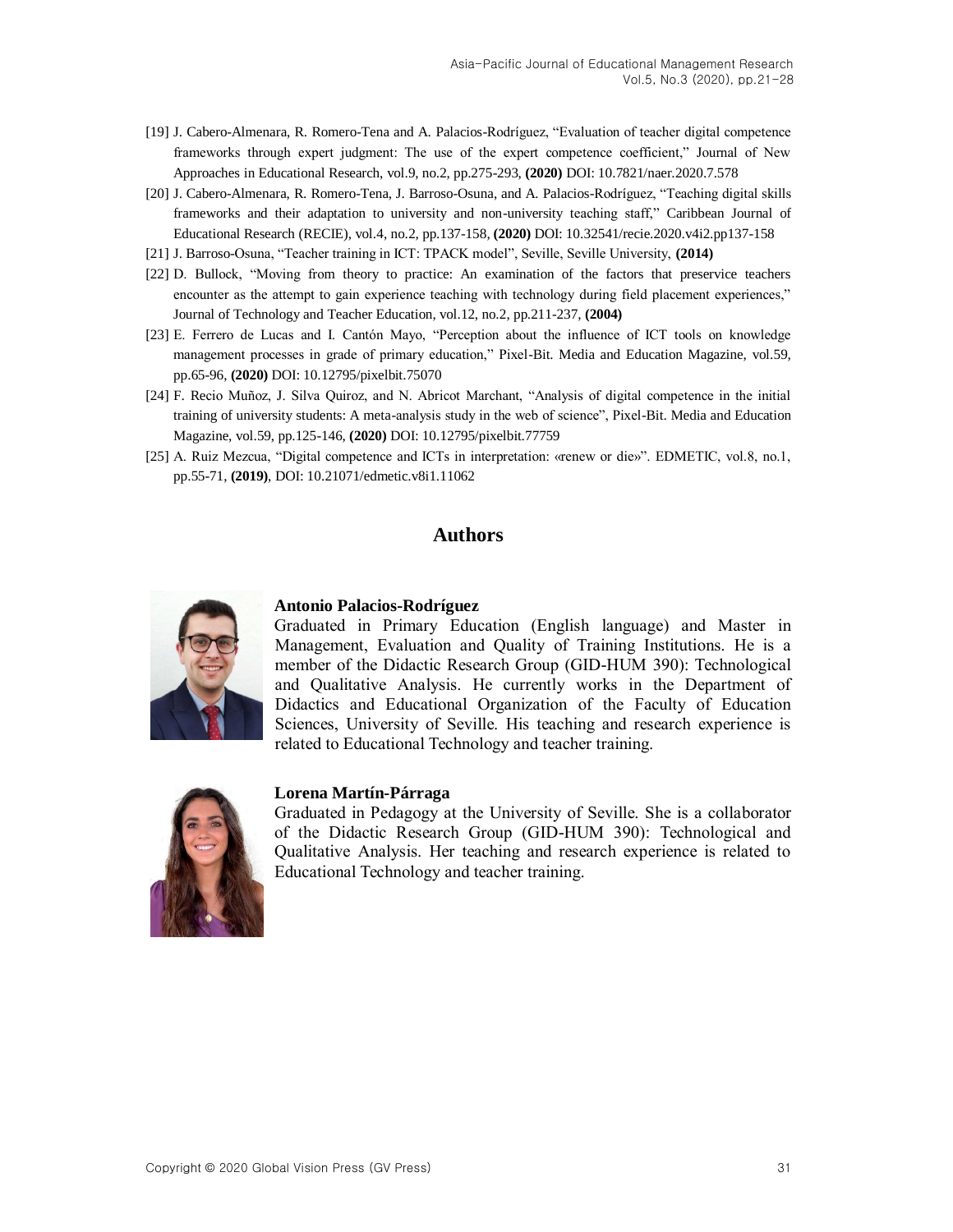- <span id="page-10-0"></span>[19] J. Cabero-Almenara, R. Romero-Tena and A. Palacios-Rodríguez, "Evaluation of teacher digital competence frameworks through expert judgment: The use of the expert competence coefficient," Journal of New Approaches in Educational Research, vol.9, no.2, pp.275-293, **(2020)** DOI: 10.7821/naer.2020.7.578
- <span id="page-10-1"></span>[20] J. Cabero-Almenara, R. Romero-Tena, J. Barroso-Osuna, and A. Palacios-Rodríguez, "Teaching digital skills frameworks and their adaptation to university and non-university teaching staff," Caribbean Journal of Educational Research (RECIE), vol.4, no.2, pp.137-158, **(2020)** DOI: 10.32541/recie.2020.v4i2.pp137-158
- <span id="page-10-2"></span>[21] J. Barroso-Osuna, "Teacher training in ICT: TPACK model", Seville, Seville University, **(2014)**
- <span id="page-10-3"></span>[22] D. Bullock, "Moving from theory to practice: An examination of the factors that preservice teachers encounter as the attempt to gain experience teaching with technology during field placement experiences," Journal of Technology and Teacher Education, vol.12, no.2, pp.211-237, **(2004)**
- [23] E. Ferrero de Lucas and I. Cantón Mayo, "Perception about the influence of ICT tools on knowledge management processes in grade of primary education," Pixel-Bit. Media and Education Magazine, vol.59, pp.65-96, **(2020)** DOI: 10.12795/pixelbit.75070
- <span id="page-10-4"></span>[24] F. Recio Muñoz, J. Silva Quiroz, and N. Abricot Marchant, "Analysis of digital competence in the initial training of university students: A meta-analysis study in the web of science", Pixel-Bit. Media and Education Magazine, vol.59, pp.125-146, **(2020)** DOI: 10.12795/pixelbit.77759
- [25] A. Ruiz Mezcua, "Digital competence and ICTs in interpretation: «renew or die»". EDMETIC, vol.8, no.1, pp.55-71, **(2019)**, DOI: 10.21071/edmetic.v8i1.11062

#### **Authors**



#### **Antonio Palacios-Rodríguez**

Graduated in Primary Education (English language) and Master in Management, Evaluation and Quality of Training Institutions. He is a member of the Didactic Research Group (GID-HUM 390): Technological and Qualitative Analysis. He currently works in the Department of Didactics and Educational Organization of the Faculty of Education Sciences, University of Seville. His teaching and research experience is related to Educational Technology and teacher training.



#### **Lorena Martín-Párraga**

Graduated in Pedagogy at the University of Seville. She is a collaborator of the Didactic Research Group (GID-HUM 390): Technological and Qualitative Analysis. Her teaching and research experience is related to Educational Technology and teacher training.